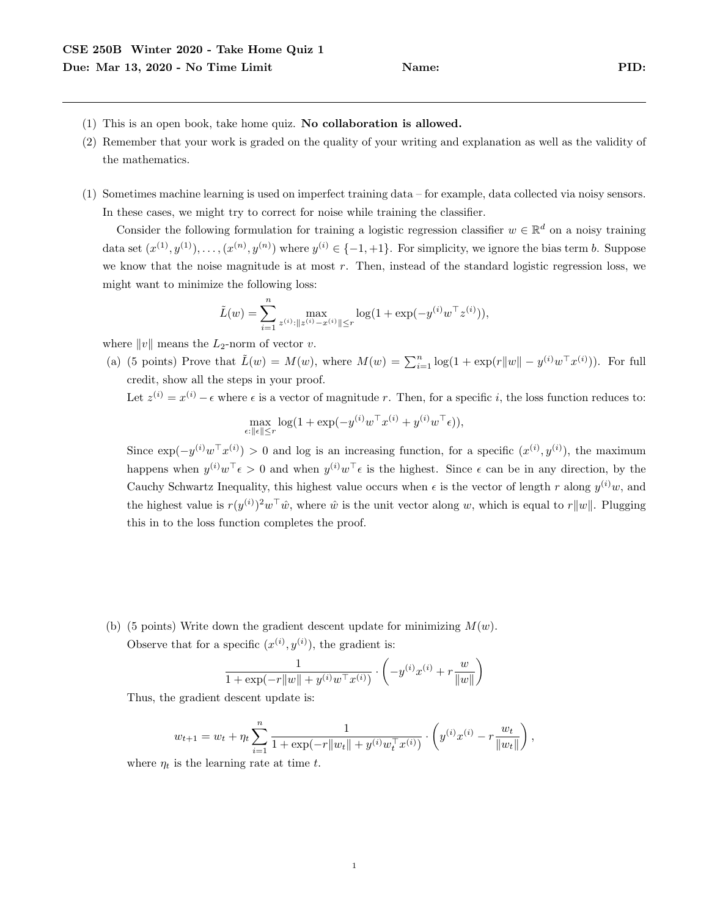- (1) This is an open book, take home quiz. No collaboration is allowed.
- (2) Remember that your work is graded on the quality of your writing and explanation as well as the validity of the mathematics.
- (1) Sometimes machine learning is used on imperfect training data for example, data collected via noisy sensors. In these cases, we might try to correct for noise while training the classifier.

Consider the following formulation for training a logistic regression classifier  $w \in \mathbb{R}^d$  on a noisy training data set  $(x^{(1)}, y^{(1)}), \ldots, (x^{(n)}, y^{(n)})$  where  $y^{(i)} \in \{-1, +1\}$ . For simplicity, we ignore the bias term b. Suppose we know that the noise magnitude is at most  $r$ . Then, instead of the standard logistic regression loss, we might want to minimize the following loss:

$$
\tilde{L}(w) = \sum_{i=1}^{n} \max_{z^{(i)}: ||z^{(i)} - x^{(i)}|| \le r} \log(1 + \exp(-y^{(i)}w^{\top}z^{(i)})),
$$

where  $||v||$  means the  $L_2$ -norm of vector v.

(a) (5 points) Prove that  $\tilde{L}(w) = M(w)$ , where  $M(w) = \sum_{i=1}^{n} \log(1 + \exp(r||w|| - y^{(i)}w^{\top}x^{(i)}))$ . For full credit, show all the steps in your proof.

Let  $z^{(i)} = x^{(i)} - \epsilon$  where  $\epsilon$  is a vector of magnitude r. Then, for a specific i, the loss function reduces to:

$$
\max_{\epsilon:\|\epsilon\|\leq r} \log(1+\exp(-y^{(i)}w^\top x^{(i)}+y^{(i)}w^\top \epsilon)),
$$

Since  $\exp(-y^{(i)}w^{\top}x^{(i)}) > 0$  and log is an increasing function, for a specific  $(x^{(i)}, y^{(i)})$ , the maximum happens when  $y^{(i)}w^{\top} \epsilon > 0$  and when  $y^{(i)}w^{\top} \epsilon$  is the highest. Since  $\epsilon$  can be in any direction, by the Cauchy Schwartz Inequality, this highest value occurs when  $\epsilon$  is the vector of length r along  $y^{(i)}w$ , and the highest value is  $r(y^{(i)})^2 w^{\top} \hat{w}$ , where  $\hat{w}$  is the unit vector along w, which is equal to r||w||. Plugging this in to the loss function completes the proof.

(b) (5 points) Write down the gradient descent update for minimizing  $M(w)$ .

Observe that for a specific 
$$
(x^{(i)}, y^{(i)})
$$
, the gradient is:

$$
\frac{1}{1 + \exp(-r||w|| + y^{(i)}w^{\top}x^{(i)})} \cdot \left(-y^{(i)}x^{(i)} + r\frac{w}{||w||}\right)
$$

Thus, the gradient descent update is:

$$
w_{t+1} = w_t + \eta_t \sum_{i=1}^n \frac{1}{1 + \exp(-r||w_t|| + y^{(i)}w_t^{\top}x^{(i)})} \cdot \left(y^{(i)}x^{(i)} - r\frac{w_t}{||w_t||}\right),
$$

where  $\eta_t$  is the learning rate at time t.